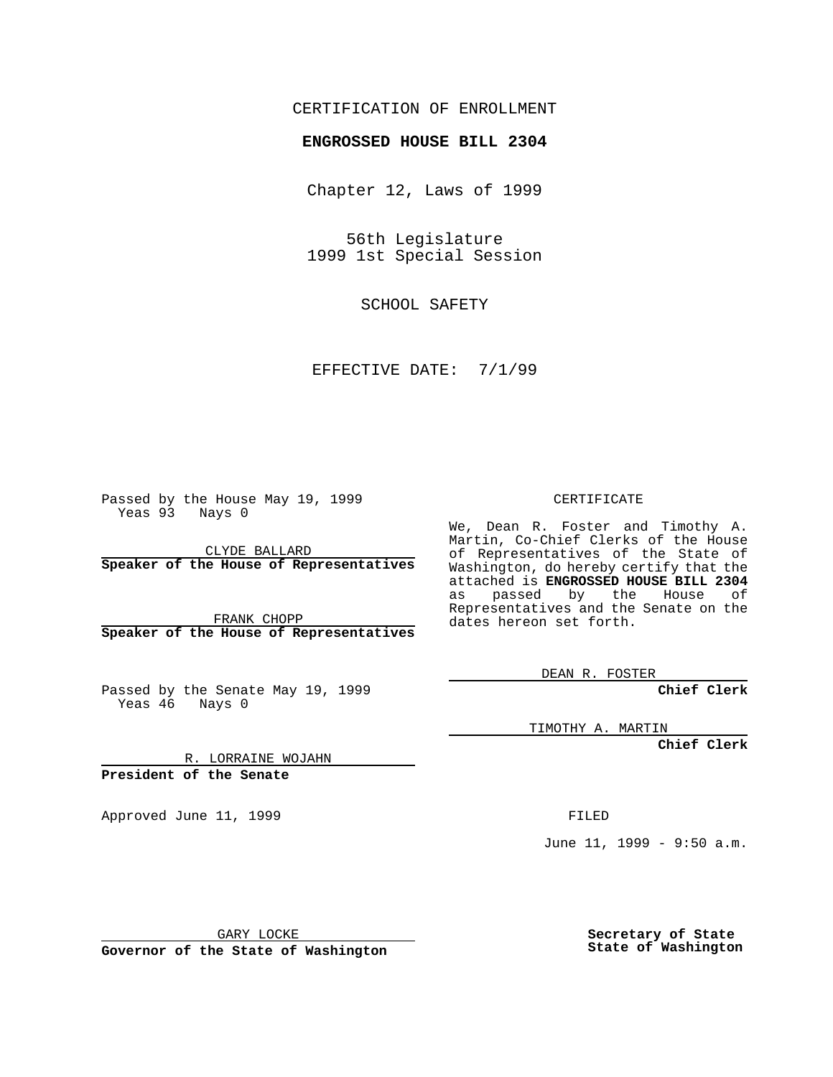## CERTIFICATION OF ENROLLMENT

## **ENGROSSED HOUSE BILL 2304**

Chapter 12, Laws of 1999

56th Legislature 1999 1st Special Session

SCHOOL SAFETY

## EFFECTIVE DATE: 7/1/99

Passed by the House May 19, 1999 Yeas 93 Nays 0

CLYDE BALLARD **Speaker of the House of Representatives**

FRANK CHOPP **Speaker of the House of Representatives**

Passed by the Senate May 19, 1999 Yeas 46 Nays 0

CERTIFICATE

We, Dean R. Foster and Timothy A. Martin, Co-Chief Clerks of the House of Representatives of the State of Washington, do hereby certify that the attached is **ENGROSSED HOUSE BILL 2304** as passed by the House of Representatives and the Senate on the dates hereon set forth.

DEAN R. FOSTER

**Chief Clerk**

TIMOTHY A. MARTIN

**Chief Clerk**

R. LORRAINE WOJAHN **President of the Senate**

Approved June 11, 1999 **FILED** 

June 11, 1999 - 9:50 a.m.

GARY LOCKE

**Governor of the State of Washington**

**Secretary of State State of Washington**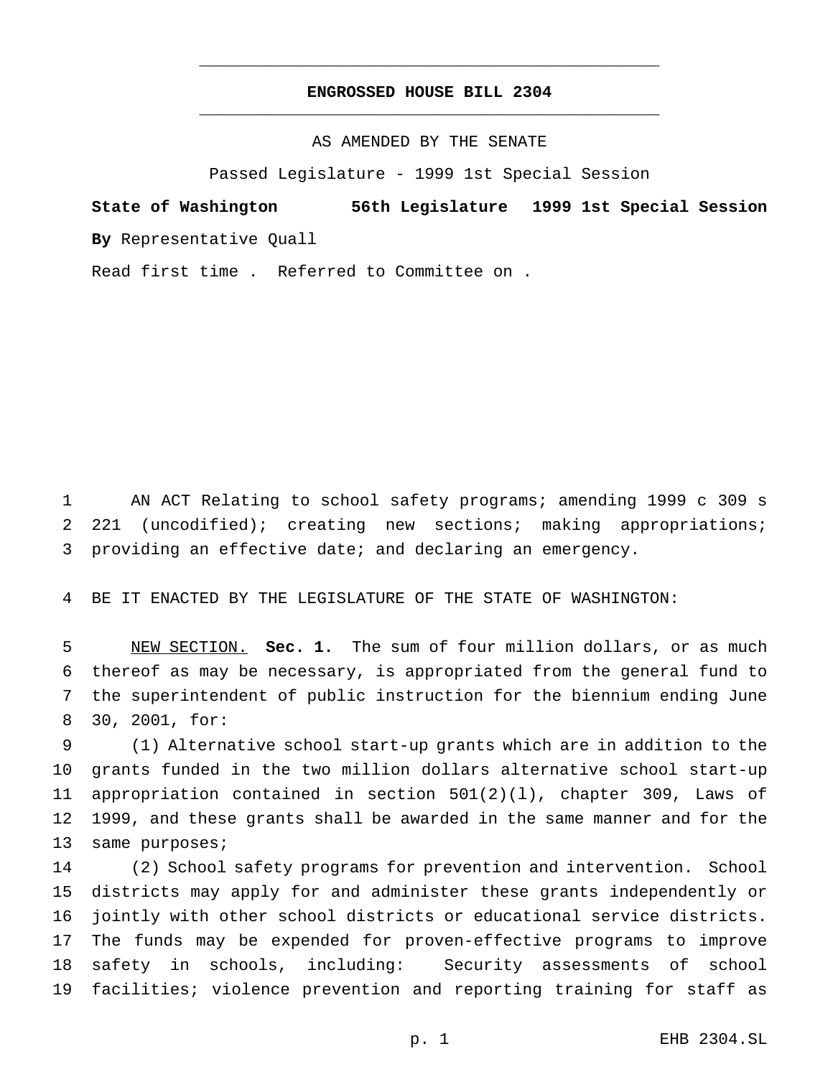## **ENGROSSED HOUSE BILL 2304** \_\_\_\_\_\_\_\_\_\_\_\_\_\_\_\_\_\_\_\_\_\_\_\_\_\_\_\_\_\_\_\_\_\_\_\_\_\_\_\_\_\_\_\_\_\_\_

\_\_\_\_\_\_\_\_\_\_\_\_\_\_\_\_\_\_\_\_\_\_\_\_\_\_\_\_\_\_\_\_\_\_\_\_\_\_\_\_\_\_\_\_\_\_\_

AS AMENDED BY THE SENATE

Passed Legislature - 1999 1st Special Session

**State of Washington 56th Legislature 1999 1st Special Session By** Representative Quall

Read first time . Referred to Committee on .

 AN ACT Relating to school safety programs; amending 1999 c 309 s 221 (uncodified); creating new sections; making appropriations; providing an effective date; and declaring an emergency.

BE IT ENACTED BY THE LEGISLATURE OF THE STATE OF WASHINGTON:

 NEW SECTION. **Sec. 1.** The sum of four million dollars, or as much thereof as may be necessary, is appropriated from the general fund to the superintendent of public instruction for the biennium ending June 30, 2001, for:

 (1) Alternative school start-up grants which are in addition to the grants funded in the two million dollars alternative school start-up appropriation contained in section 501(2)(l), chapter 309, Laws of 1999, and these grants shall be awarded in the same manner and for the 13 same purposes;

 (2) School safety programs for prevention and intervention. School districts may apply for and administer these grants independently or jointly with other school districts or educational service districts. The funds may be expended for proven-effective programs to improve safety in schools, including: Security assessments of school facilities; violence prevention and reporting training for staff as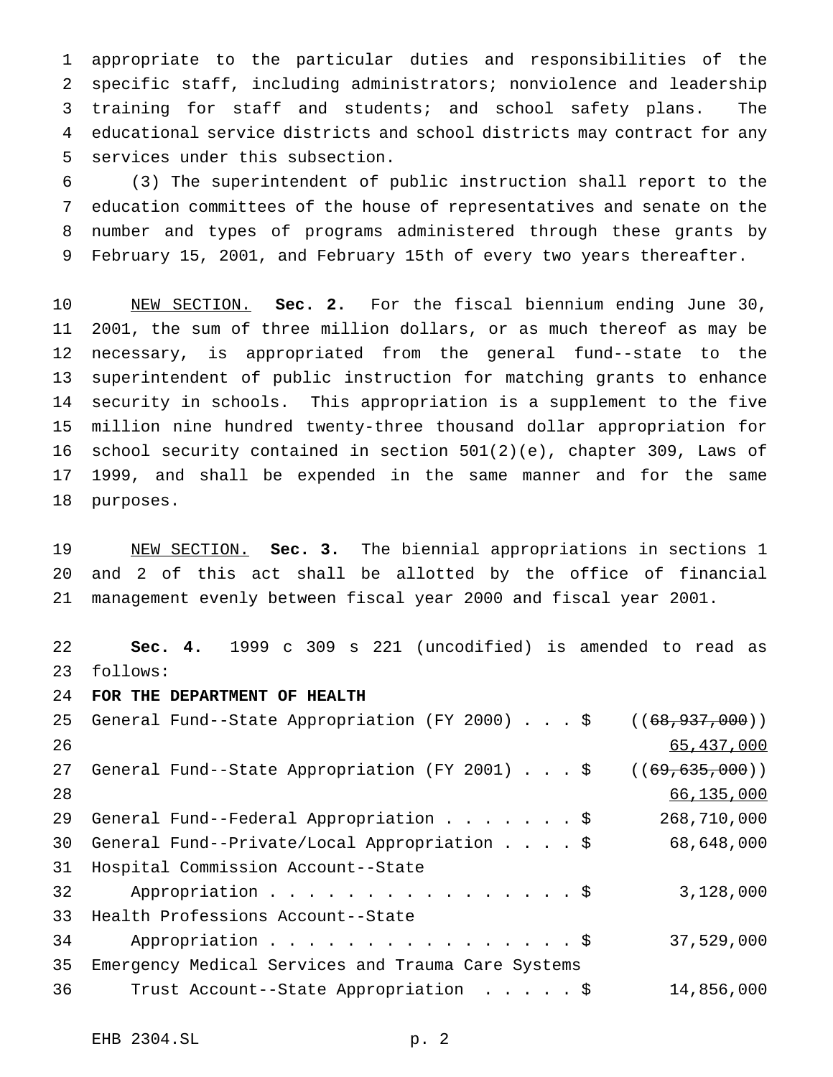appropriate to the particular duties and responsibilities of the specific staff, including administrators; nonviolence and leadership training for staff and students; and school safety plans. The educational service districts and school districts may contract for any services under this subsection.

 (3) The superintendent of public instruction shall report to the education committees of the house of representatives and senate on the number and types of programs administered through these grants by February 15, 2001, and February 15th of every two years thereafter.

 NEW SECTION. **Sec. 2.** For the fiscal biennium ending June 30, 2001, the sum of three million dollars, or as much thereof as may be necessary, is appropriated from the general fund--state to the superintendent of public instruction for matching grants to enhance security in schools. This appropriation is a supplement to the five million nine hundred twenty-three thousand dollar appropriation for school security contained in section 501(2)(e), chapter 309, Laws of 1999, and shall be expended in the same manner and for the same purposes.

 NEW SECTION. **Sec. 3.** The biennial appropriations in sections 1 and 2 of this act shall be allotted by the office of financial management evenly between fiscal year 2000 and fiscal year 2001.

 **Sec. 4.** 1999 c 309 s 221 (uncodified) is amended to read as follows: **FOR THE DEPARTMENT OF HEALTH** 25 General Fund--State Appropriation (FY 2000) . . . \$ ((68,937,000)) 65,437,000 27 General Fund--State Appropriation (FY 2001)...\$ ((69,635,000)) 66,135,000 General Fund--Federal Appropriation.......\$ 268,710,000 General Fund--Private/Local Appropriation....\$ 68,648,000 Hospital Commission Account--State 32 Appropriation . . . . . . . . . . . . . . . \$ 3,128,000 Health Professions Account--State 34 Appropriation . . . . . . . . . . . . . . . \$ 37,529,000 Emergency Medical Services and Trauma Care Systems Trust Account--State Appropriation .....\$ 14,856,000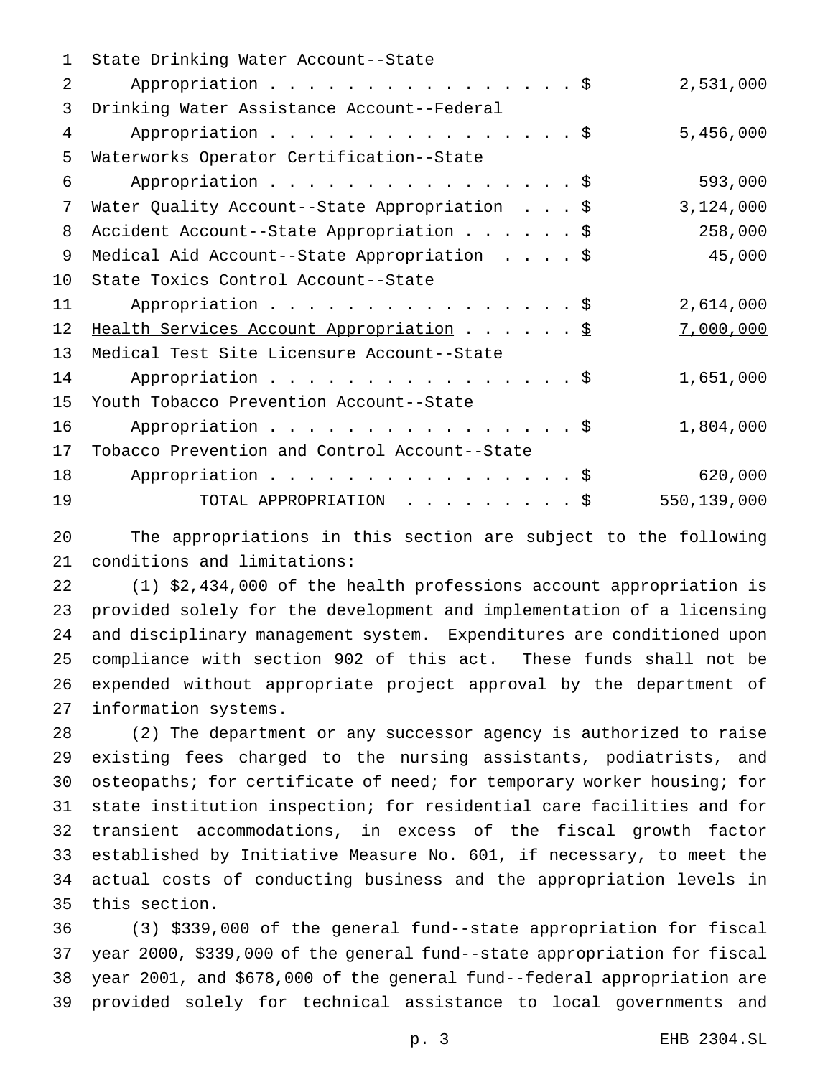| 1  | State Drinking Water Account--State           |             |
|----|-----------------------------------------------|-------------|
| 2  | Appropriation \$                              | 2,531,000   |
| 3  | Drinking Water Assistance Account--Federal    |             |
| 4  | Appropriation \$                              | 5,456,000   |
| 5  | Waterworks Operator Certification--State      |             |
| 6  | Appropriation \$                              | 593,000     |
| 7  | Water Quality Account--State Appropriation \$ | 3,124,000   |
| 8  | Accident Account--State Appropriation \$      | 258,000     |
| 9  | Medical Aid Account--State Appropriation \$   | 45,000      |
| 10 | State Toxics Control Account--State           |             |
| 11 | Appropriation \$                              | 2,614,000   |
| 12 | Health Services Account Appropriation \$      | 7,000,000   |
| 13 | Medical Test Site Licensure Account--State    |             |
| 14 | Appropriation \$                              | 1,651,000   |
| 15 | Youth Tobacco Prevention Account--State       |             |
| 16 | Appropriation \$                              | 1,804,000   |
| 17 | Tobacco Prevention and Control Account--State |             |
| 18 | Appropriation \$                              | 620,000     |
| 19 | TOTAL APPROPRIATION \$                        | 550,139,000 |

 The appropriations in this section are subject to the following conditions and limitations:

 (1) \$2,434,000 of the health professions account appropriation is provided solely for the development and implementation of a licensing and disciplinary management system. Expenditures are conditioned upon compliance with section 902 of this act. These funds shall not be expended without appropriate project approval by the department of information systems.

 (2) The department or any successor agency is authorized to raise existing fees charged to the nursing assistants, podiatrists, and osteopaths; for certificate of need; for temporary worker housing; for state institution inspection; for residential care facilities and for transient accommodations, in excess of the fiscal growth factor established by Initiative Measure No. 601, if necessary, to meet the actual costs of conducting business and the appropriation levels in this section.

 (3) \$339,000 of the general fund--state appropriation for fiscal year 2000, \$339,000 of the general fund--state appropriation for fiscal year 2001, and \$678,000 of the general fund--federal appropriation are provided solely for technical assistance to local governments and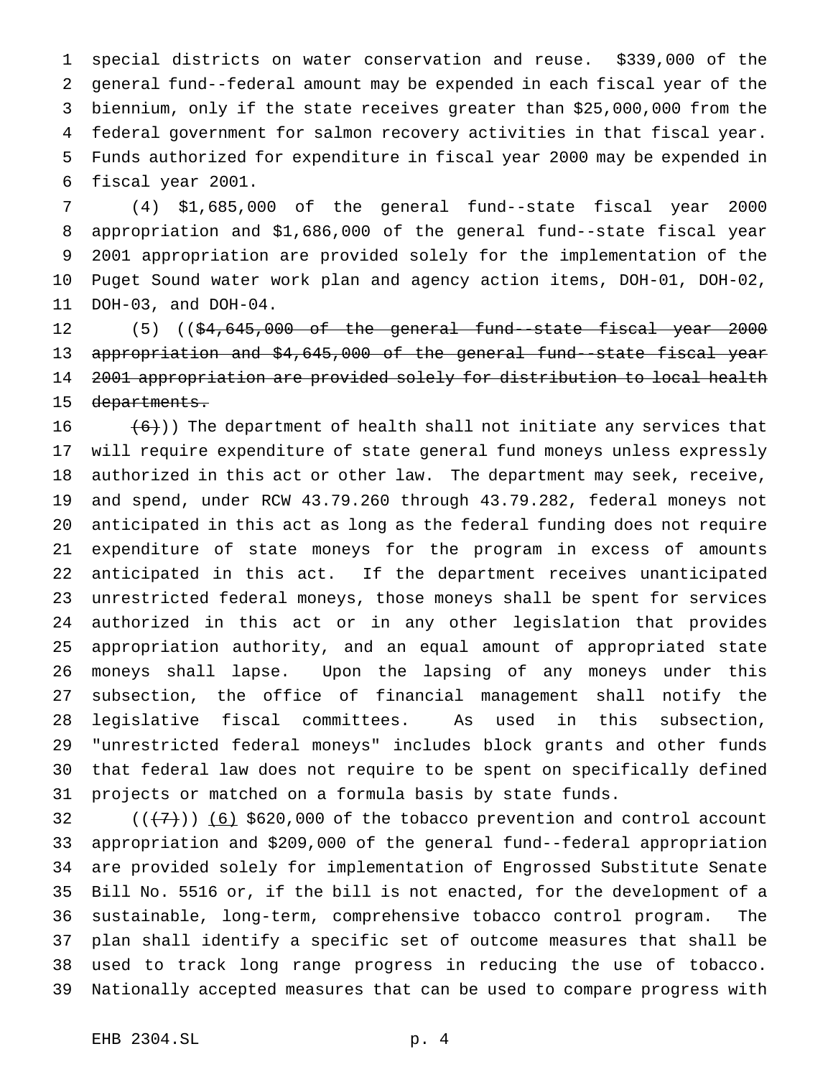special districts on water conservation and reuse. \$339,000 of the general fund--federal amount may be expended in each fiscal year of the biennium, only if the state receives greater than \$25,000,000 from the federal government for salmon recovery activities in that fiscal year. Funds authorized for expenditure in fiscal year 2000 may be expended in fiscal year 2001.

 (4) \$1,685,000 of the general fund--state fiscal year 2000 appropriation and \$1,686,000 of the general fund--state fiscal year 2001 appropriation are provided solely for the implementation of the Puget Sound water work plan and agency action items, DOH-01, DOH-02, DOH-03, and DOH-04.

12 (5) ((\$4,645,000 of the general fund--state fiscal year 2000 appropriation and \$4,645,000 of the general fund--state fiscal year 2001 appropriation are provided solely for distribution to local health 15 departments.

 $(6)$ )) The department of health shall not initiate any services that will require expenditure of state general fund moneys unless expressly authorized in this act or other law. The department may seek, receive, and spend, under RCW 43.79.260 through 43.79.282, federal moneys not anticipated in this act as long as the federal funding does not require expenditure of state moneys for the program in excess of amounts anticipated in this act. If the department receives unanticipated unrestricted federal moneys, those moneys shall be spent for services authorized in this act or in any other legislation that provides appropriation authority, and an equal amount of appropriated state moneys shall lapse. Upon the lapsing of any moneys under this subsection, the office of financial management shall notify the legislative fiscal committees. As used in this subsection, "unrestricted federal moneys" includes block grants and other funds that federal law does not require to be spent on specifically defined projects or matched on a formula basis by state funds.

 $((+7))$  (6) \$620,000 of the tobacco prevention and control account appropriation and \$209,000 of the general fund--federal appropriation are provided solely for implementation of Engrossed Substitute Senate Bill No. 5516 or, if the bill is not enacted, for the development of a sustainable, long-term, comprehensive tobacco control program. The plan shall identify a specific set of outcome measures that shall be used to track long range progress in reducing the use of tobacco. Nationally accepted measures that can be used to compare progress with